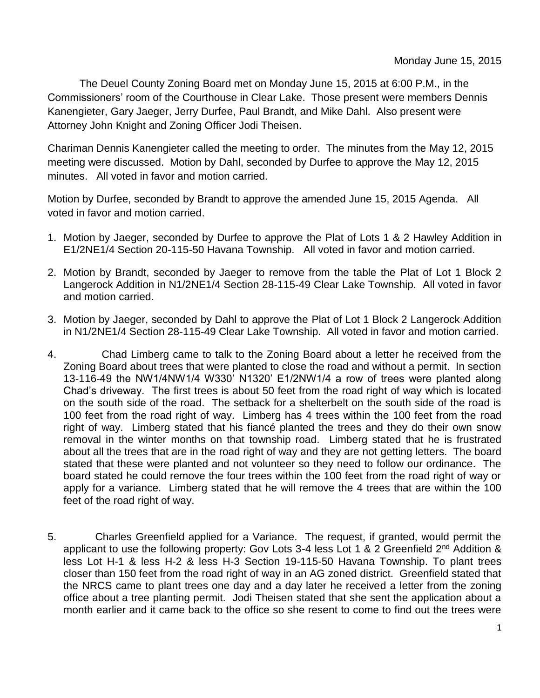The Deuel County Zoning Board met on Monday June 15, 2015 at 6:00 P.M., in the Commissioners' room of the Courthouse in Clear Lake. Those present were members Dennis Kanengieter, Gary Jaeger, Jerry Durfee, Paul Brandt, and Mike Dahl. Also present were Attorney John Knight and Zoning Officer Jodi Theisen.

Chariman Dennis Kanengieter called the meeting to order. The minutes from the May 12, 2015 meeting were discussed. Motion by Dahl, seconded by Durfee to approve the May 12, 2015 minutes. All voted in favor and motion carried.

Motion by Durfee, seconded by Brandt to approve the amended June 15, 2015 Agenda. All voted in favor and motion carried.

- 1. Motion by Jaeger, seconded by Durfee to approve the Plat of Lots 1 & 2 Hawley Addition in E1/2NE1/4 Section 20-115-50 Havana Township. All voted in favor and motion carried.
- 2. Motion by Brandt, seconded by Jaeger to remove from the table the Plat of Lot 1 Block 2 Langerock Addition in N1/2NE1/4 Section 28-115-49 Clear Lake Township. All voted in favor and motion carried.
- 3. Motion by Jaeger, seconded by Dahl to approve the Plat of Lot 1 Block 2 Langerock Addition in N1/2NE1/4 Section 28-115-49 Clear Lake Township. All voted in favor and motion carried.
- 4. Chad Limberg came to talk to the Zoning Board about a letter he received from the Zoning Board about trees that were planted to close the road and without a permit. In section 13-116-49 the NW1/4NW1/4 W330' N1320' E1/2NW1/4 a row of trees were planted along Chad's driveway. The first trees is about 50 feet from the road right of way which is located on the south side of the road. The setback for a shelterbelt on the south side of the road is 100 feet from the road right of way. Limberg has 4 trees within the 100 feet from the road right of way. Limberg stated that his fiancé planted the trees and they do their own snow removal in the winter months on that township road. Limberg stated that he is frustrated about all the trees that are in the road right of way and they are not getting letters. The board stated that these were planted and not volunteer so they need to follow our ordinance. The board stated he could remove the four trees within the 100 feet from the road right of way or apply for a variance. Limberg stated that he will remove the 4 trees that are within the 100 feet of the road right of way.
- 5. Charles Greenfield applied for a Variance. The request, if granted, would permit the applicant to use the following property: Gov Lots 3-4 less Lot 1 & 2 Greenfield 2<sup>nd</sup> Addition & less Lot H-1 & less H-2 & less H-3 Section 19-115-50 Havana Township. To plant trees closer than 150 feet from the road right of way in an AG zoned district. Greenfield stated that the NRCS came to plant trees one day and a day later he received a letter from the zoning office about a tree planting permit. Jodi Theisen stated that she sent the application about a month earlier and it came back to the office so she resent to come to find out the trees were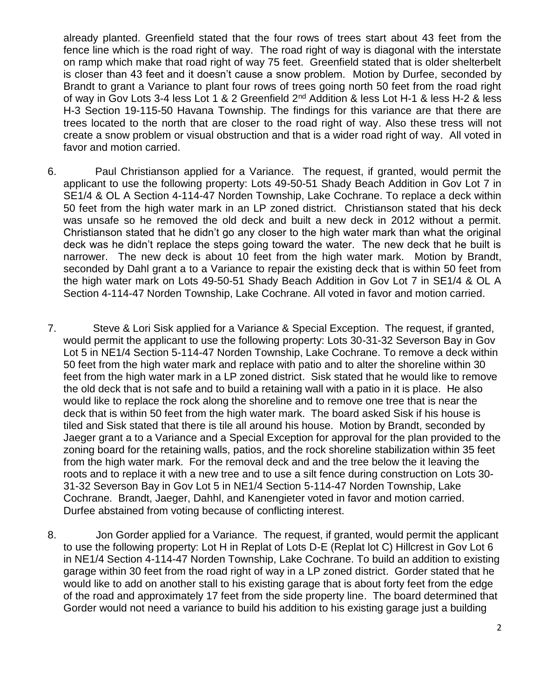already planted. Greenfield stated that the four rows of trees start about 43 feet from the fence line which is the road right of way. The road right of way is diagonal with the interstate on ramp which make that road right of way 75 feet. Greenfield stated that is older shelterbelt is closer than 43 feet and it doesn't cause a snow problem. Motion by Durfee, seconded by Brandt to grant a Variance to plant four rows of trees going north 50 feet from the road right of way in Gov Lots 3-4 less Lot 1 & 2 Greenfield 2<sup>nd</sup> Addition & less Lot H-1 & less H-2 & less H-3 Section 19-115-50 Havana Township. The findings for this variance are that there are trees located to the north that are closer to the road right of way. Also these tress will not create a snow problem or visual obstruction and that is a wider road right of way. All voted in favor and motion carried.

- 6. Paul Christianson applied for a Variance. The request, if granted, would permit the applicant to use the following property: Lots 49-50-51 Shady Beach Addition in Gov Lot 7 in SE1/4 & OL A Section 4-114-47 Norden Township, Lake Cochrane. To replace a deck within 50 feet from the high water mark in an LP zoned district. Christianson stated that his deck was unsafe so he removed the old deck and built a new deck in 2012 without a permit. Christianson stated that he didn't go any closer to the high water mark than what the original deck was he didn't replace the steps going toward the water. The new deck that he built is narrower. The new deck is about 10 feet from the high water mark. Motion by Brandt, seconded by Dahl grant a to a Variance to repair the existing deck that is within 50 feet from the high water mark on Lots 49-50-51 Shady Beach Addition in Gov Lot 7 in SE1/4 & OL A Section 4-114-47 Norden Township, Lake Cochrane. All voted in favor and motion carried.
- 7. Steve & Lori Sisk applied for a Variance & Special Exception. The request, if granted, would permit the applicant to use the following property: Lots 30-31-32 Severson Bay in Gov Lot 5 in NE1/4 Section 5-114-47 Norden Township, Lake Cochrane. To remove a deck within 50 feet from the high water mark and replace with patio and to alter the shoreline within 30 feet from the high water mark in a LP zoned district. Sisk stated that he would like to remove the old deck that is not safe and to build a retaining wall with a patio in it is place. He also would like to replace the rock along the shoreline and to remove one tree that is near the deck that is within 50 feet from the high water mark. The board asked Sisk if his house is tiled and Sisk stated that there is tile all around his house. Motion by Brandt, seconded by Jaeger grant a to a Variance and a Special Exception for approval for the plan provided to the zoning board for the retaining walls, patios, and the rock shoreline stabilization within 35 feet from the high water mark. For the removal deck and and the tree below the it leaving the roots and to replace it with a new tree and to use a silt fence during construction on Lots 30- 31-32 Severson Bay in Gov Lot 5 in NE1/4 Section 5-114-47 Norden Township, Lake Cochrane. Brandt, Jaeger, Dahhl, and Kanengieter voted in favor and motion carried. Durfee abstained from voting because of conflicting interest.
- 8. Jon Gorder applied for a Variance. The request, if granted, would permit the applicant to use the following property: Lot H in Replat of Lots D-E (Replat lot C) Hillcrest in Gov Lot 6 in NE1/4 Section 4-114-47 Norden Township, Lake Cochrane. To build an addition to existing garage within 30 feet from the road right of way in a LP zoned district. Gorder stated that he would like to add on another stall to his existing garage that is about forty feet from the edge of the road and approximately 17 feet from the side property line. The board determined that Gorder would not need a variance to build his addition to his existing garage just a building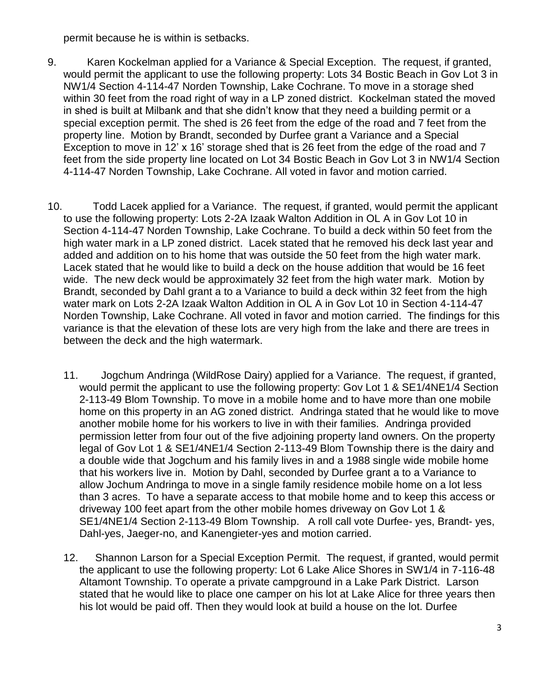permit because he is within is setbacks.

- 9. Karen Kockelman applied for a Variance & Special Exception. The request, if granted, would permit the applicant to use the following property: Lots 34 Bostic Beach in Gov Lot 3 in NW1/4 Section 4-114-47 Norden Township, Lake Cochrane. To move in a storage shed within 30 feet from the road right of way in a LP zoned district. Kockelman stated the moved in shed is built at Milbank and that she didn't know that they need a building permit or a special exception permit. The shed is 26 feet from the edge of the road and 7 feet from the property line. Motion by Brandt, seconded by Durfee grant a Variance and a Special Exception to move in 12' x 16' storage shed that is 26 feet from the edge of the road and 7 feet from the side property line located on Lot 34 Bostic Beach in Gov Lot 3 in NW1/4 Section 4-114-47 Norden Township, Lake Cochrane. All voted in favor and motion carried.
- 10. Todd Lacek applied for a Variance. The request, if granted, would permit the applicant to use the following property: Lots 2-2A Izaak Walton Addition in OL A in Gov Lot 10 in Section 4-114-47 Norden Township, Lake Cochrane. To build a deck within 50 feet from the high water mark in a LP zoned district. Lacek stated that he removed his deck last year and added and addition on to his home that was outside the 50 feet from the high water mark. Lacek stated that he would like to build a deck on the house addition that would be 16 feet wide. The new deck would be approximately 32 feet from the high water mark. Motion by Brandt, seconded by Dahl grant a to a Variance to build a deck within 32 feet from the high water mark on Lots 2-2A Izaak Walton Addition in OL A in Gov Lot 10 in Section 4-114-47 Norden Township, Lake Cochrane. All voted in favor and motion carried. The findings for this variance is that the elevation of these lots are very high from the lake and there are trees in between the deck and the high watermark.
	- 11. Jogchum Andringa (WildRose Dairy) applied for a Variance. The request, if granted, would permit the applicant to use the following property: Gov Lot 1 & SE1/4NE1/4 Section 2-113-49 Blom Township. To move in a mobile home and to have more than one mobile home on this property in an AG zoned district. Andringa stated that he would like to move another mobile home for his workers to live in with their families. Andringa provided permission letter from four out of the five adjoining property land owners. On the property legal of Gov Lot 1 & SE1/4NE1/4 Section 2-113-49 Blom Township there is the dairy and a double wide that Jogchum and his family lives in and a 1988 single wide mobile home that his workers live in. Motion by Dahl, seconded by Durfee grant a to a Variance to allow Jochum Andringa to move in a single family residence mobile home on a lot less than 3 acres. To have a separate access to that mobile home and to keep this access or driveway 100 feet apart from the other mobile homes driveway on Gov Lot 1 & SE1/4NE1/4 Section 2-113-49 Blom Township. A roll call vote Durfee- yes, Brandt- yes, Dahl-yes, Jaeger-no, and Kanengieter-yes and motion carried.
	- 12. Shannon Larson for a Special Exception Permit. The request, if granted, would permit the applicant to use the following property: Lot 6 Lake Alice Shores in SW1/4 in 7-116-48 Altamont Township. To operate a private campground in a Lake Park District. Larson stated that he would like to place one camper on his lot at Lake Alice for three years then his lot would be paid off. Then they would look at build a house on the lot. Durfee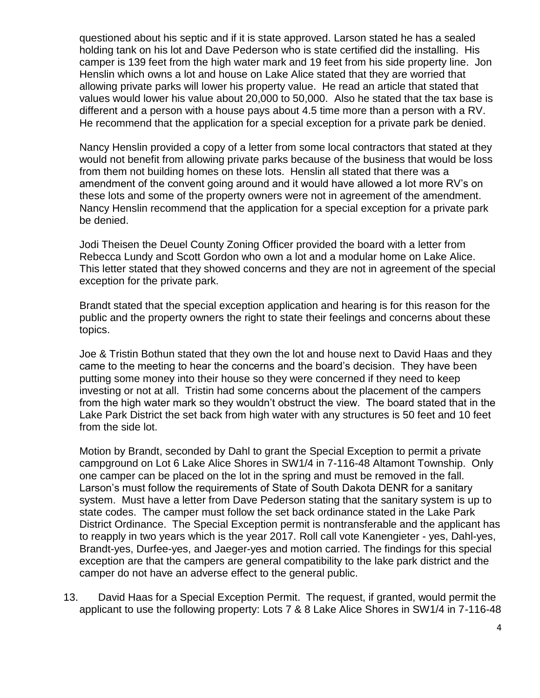questioned about his septic and if it is state approved. Larson stated he has a sealed holding tank on his lot and Dave Pederson who is state certified did the installing. His camper is 139 feet from the high water mark and 19 feet from his side property line. Jon Henslin which owns a lot and house on Lake Alice stated that they are worried that allowing private parks will lower his property value. He read an article that stated that values would lower his value about 20,000 to 50,000. Also he stated that the tax base is different and a person with a house pays about 4.5 time more than a person with a RV. He recommend that the application for a special exception for a private park be denied.

Nancy Henslin provided a copy of a letter from some local contractors that stated at they would not benefit from allowing private parks because of the business that would be loss from them not building homes on these lots. Henslin all stated that there was a amendment of the convent going around and it would have allowed a lot more RV's on these lots and some of the property owners were not in agreement of the amendment. Nancy Henslin recommend that the application for a special exception for a private park be denied.

Jodi Theisen the Deuel County Zoning Officer provided the board with a letter from Rebecca Lundy and Scott Gordon who own a lot and a modular home on Lake Alice. This letter stated that they showed concerns and they are not in agreement of the special exception for the private park.

Brandt stated that the special exception application and hearing is for this reason for the public and the property owners the right to state their feelings and concerns about these topics.

Joe & Tristin Bothun stated that they own the lot and house next to David Haas and they came to the meeting to hear the concerns and the board's decision. They have been putting some money into their house so they were concerned if they need to keep investing or not at all. Tristin had some concerns about the placement of the campers from the high water mark so they wouldn't obstruct the view. The board stated that in the Lake Park District the set back from high water with any structures is 50 feet and 10 feet from the side lot.

Motion by Brandt, seconded by Dahl to grant the Special Exception to permit a private campground on Lot 6 Lake Alice Shores in SW1/4 in 7-116-48 Altamont Township. Only one camper can be placed on the lot in the spring and must be removed in the fall. Larson's must follow the requirements of State of South Dakota DENR for a sanitary system. Must have a letter from Dave Pederson stating that the sanitary system is up to state codes. The camper must follow the set back ordinance stated in the Lake Park District Ordinance. The Special Exception permit is nontransferable and the applicant has to reapply in two years which is the year 2017. Roll call vote Kanengieter - yes, Dahl-yes, Brandt-yes, Durfee-yes, and Jaeger-yes and motion carried. The findings for this special exception are that the campers are general compatibility to the lake park district and the camper do not have an adverse effect to the general public.

13. David Haas for a Special Exception Permit. The request, if granted, would permit the applicant to use the following property: Lots 7 & 8 Lake Alice Shores in SW1/4 in 7-116-48